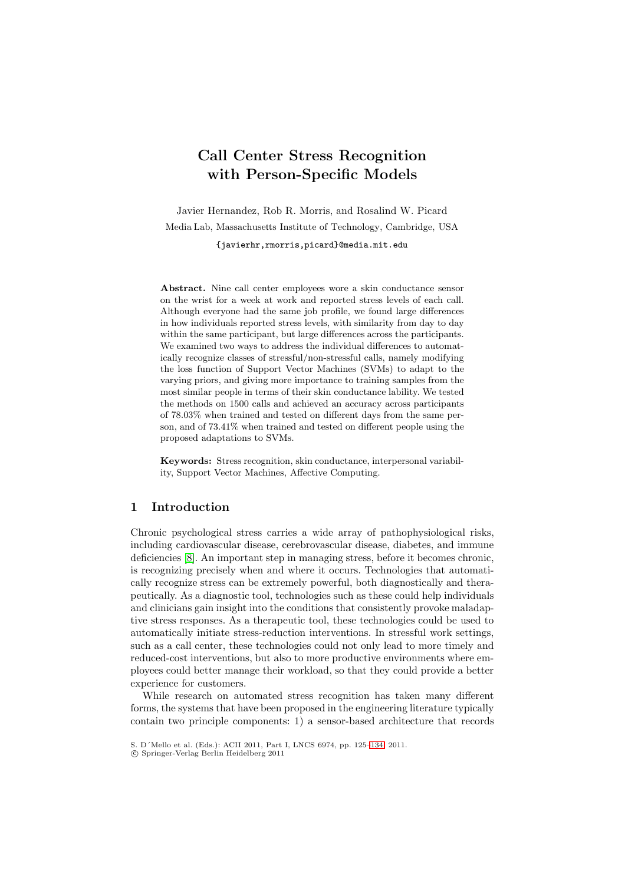# **Call Center Stress Recognition with Person-Specific Models**

Javier Hernandez, Rob R. Morris, and Rosalind W. Picard Media Lab, Massachusetts Institute of Technology, Cambridge, USA

{javierhr,rmorris,picard}@media.mit.edu

**Abstract.** Nine call center employees wore a skin conductance sensor on the wrist for a week at work and reported stress levels of each call. Although everyone had the same job profile, we found large differences in how individuals reported stress levels, with similarity from day to day within the same participant, but large differences across the participants. We examined two ways to address the individual differences to automatically recognize classes of stressful/non-stressful calls, namely modifying the loss function of Support Vector Machines (SVMs) to adapt to the varying priors, and giving more importance to training samples from the most similar people in terms of their skin conductance lability. We tested the methods on 1500 calls and achieved an accuracy across participants of 78.03% when trained and tested on different days from the same person, and of 73.41% when trained and tested on different people using the proposed adaptations to SVMs.

**Keywords:** Stress recognition, skin conductance, interpersonal variability, Support Vector Machines, Affective Computing.

# **1 Introduction**

Chronic psychological stress carries a wide array of pathophysiological risks, including cardiovascular disease, cerebrovascular disease, diabetes, and immune deficiencies [\[8\]](#page-9-0). An important step in managing stress, before it becomes chronic, is recognizing precisely when and where it occurs. Technologies that automatically recognize stress can be extremely powerful, both diagnostically and therapeutically. As a diagnostic tool, technologies such as these could help individuals and clinicians gain insight into the conditions that consistently provoke maladaptive stress responses. As a therapeutic tool, these technologies could be used to automatically initiate stress-reduction interventions. In stressful work settings, such as a call center, these technologies could not only lead to more timely and reduced-cost interventions, but also to more productive environments where employees could better manage their workload, so that they could provide a better experience for customers.

While research on automated stress recognition has taken many different forms, the systems that have been proposed in the engineering literature typically contain two principle components: 1) a sensor-based architecture that records

S. D´Mello et al. (Eds.): ACII 2011, Part I, LNCS 6974, pp. 125[–134,](#page-8-0) 2011.

<sup>-</sup>c Springer-Verlag Berlin Heidelberg 2011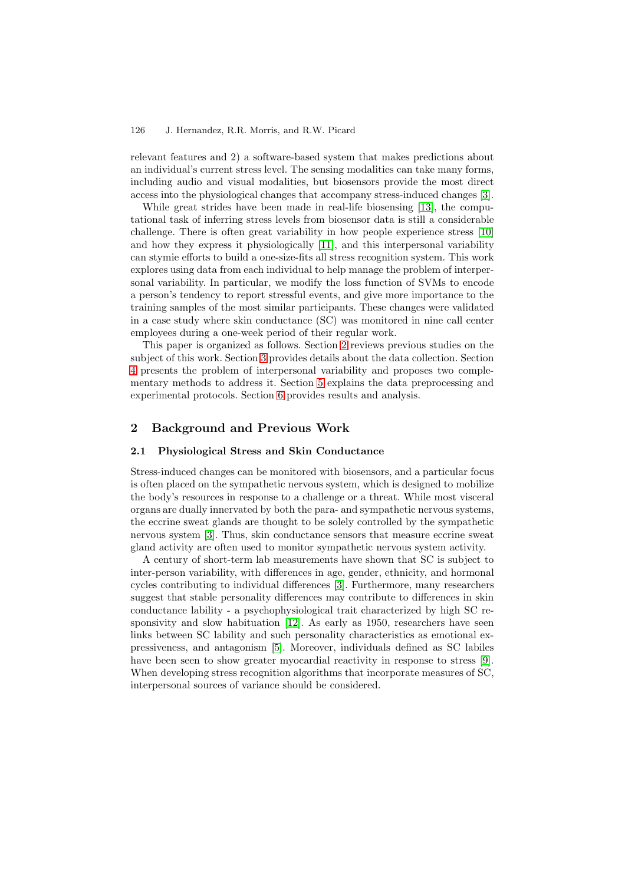relevant features and 2) a software-based system that makes predictions about an individual's current stress level. The sensing modalities can take many forms, including audio and visual modalities, but biosensors provide the most direct access into the physiological changes that accompany stress-induced changes [\[3\]](#page-9-1).

While great strides have been made in real-life biosensing [\[13\]](#page-9-2), the computational task of inferring stress levels from biosensor data is still a considerable challenge. There is often great variability in how people experience stress [\[10\]](#page-9-3) and how they express it physiologically [\[11\]](#page-9-4), and this interpersonal variability can stymie efforts to build a one-size-fits all stress recognition system. This work explores using data from each individual to help manage the problem of interpersonal variability. In particular, we modify the loss function of SVMs to encode a person's tendency to report stressful events, and give more importance to the training samples of the most similar participants. These changes were validated in a case study where skin conductance (SC) was monitored in nine call center employees during a one-week period of their regular work.

This paper is organized as follows. Section [2](#page-1-0) reviews previous studies on the subject of this work. Section [3](#page-2-0) provides details about the data collection. Section [4](#page-3-0) presents the problem of interpersonal variability and proposes two complementary methods to address it. Section [5](#page-5-0) explains the data preprocessing and experimental protocols. Section [6](#page-6-0) provides results and analysis.

# <span id="page-1-0"></span>**2 Background and Previous Work**

## **2.1 Physiological Stress and Skin Conductance**

Stress-induced changes can be monitored with biosensors, and a particular focus is often placed on the sympathetic nervous system, which is designed to mobilize the body's resources in response to a challenge or a threat. While most visceral organs are dually innervated by both the para- and sympathetic nervous systems, the eccrine sweat glands are thought to be solely controlled by the sympathetic nervous system [\[3\]](#page-9-1). Thus, skin conductance sensors that measure eccrine sweat gland activity are often used to monitor sympathetic nervous system activity.

A century of short-term lab measurements have shown that SC is subject to inter-person variability, with differences in age, gender, ethnicity, and hormonal cycles contributing to individual differences [\[3\]](#page-9-1). Furthermore, many researchers suggest that stable personality differences may contribute to differences in skin conductance lability - a psychophysiological trait characterized by high SC responsivity and slow habituation [\[12\]](#page-9-5). As early as 1950, researchers have seen links between SC lability and such personality characteristics as emotional expressiveness, and antagonism [\[5\]](#page-9-6). Moreover, individuals defined as SC labiles have been seen to show greater myocardial reactivity in response to stress [\[9\]](#page-9-7). When developing stress recognition algorithms that incorporate measures of SC, interpersonal sources of variance should be considered.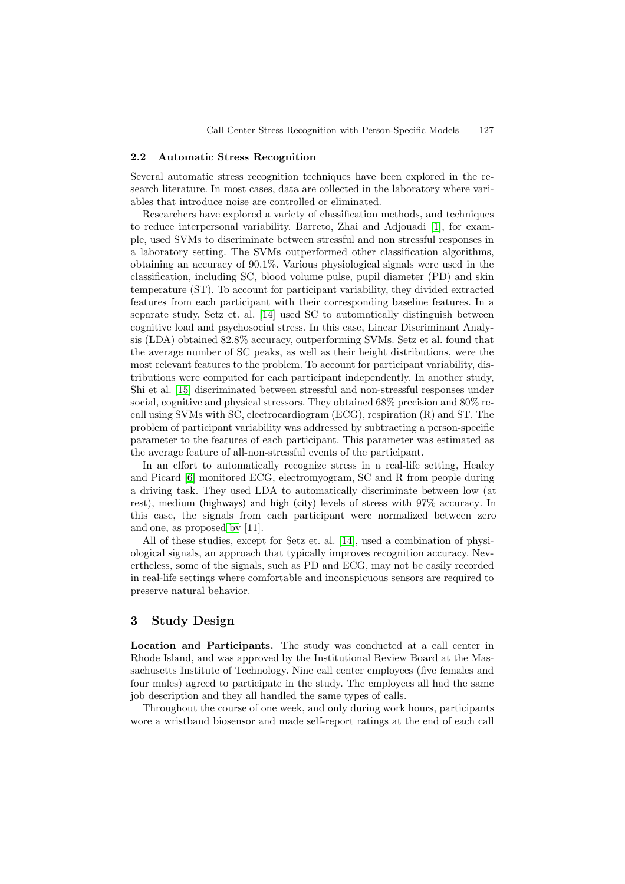### **2.2 Automatic Stress Recognition**

Several automatic stress recognition techniques have been explored in the research literature. In most cases, data are collected in the laboratory where variables that introduce noise are controlled or eliminated.

Researchers have explored a variety of classification methods, and techniques to reduce interpersonal variability. Barreto, Zhai and Adjouadi [\[1\]](#page-8-1), for example, used SVMs to discriminate between stressful and non stressful responses in a laboratory setting. The SVMs outperformed other classification algorithms, obtaining an accuracy of 90.1%. Various physiological signals were used in the classification, including SC, blood volume pulse, pupil diameter (PD) and skin temperature (ST). To account for participant variability, they divided extracted features from each participant with their corresponding baseline features. In a separate study, Setz et. al. [\[14\]](#page-9-8) used SC to automatically distinguish between cognitive load and psychosocial stress. In this case, Linear Discriminant Analysis (LDA) obtained 82.8% accuracy, outperforming SVMs. Setz et al. found that the average number of SC peaks, as well as their height distributions, were the most relevant features to the problem. To account for participant variability, distributions were computed for each participant independently. In another study, Shi et al. [\[15\]](#page-9-9) discriminated between stressful and non-stressful responses under social, cognitive and physical stressors. They obtained 68% precision and 80% recall using SVMs with SC, electrocardiogram (ECG), respiration (R) and ST. The problem of participant variability was addressed by subtracting a person-specific parameter to the features of each participant. This parameter was estimated as the average feature of all-non-stressful events of the participant.

In an effort to automatically recognize stress in a real-life setting, Healey and Picard [\[6\]](#page-9-10) monitored ECG, electromyogram, SC and R from people during a driving task. They used LDA to automatically discriminate between low (at rest), medium (highways) and high (city) levels of stress with 97% accuracy. In this case, the signals from each participant were normalized between zero and one, as proposed [by](#page-9-4) [11].

All of these studies, except for Setz et. al. [\[14\]](#page-9-8), used a combination of physiological signals, an approach that typically improves recognition accuracy. Nevertheless, some of the signals, such as PD and ECG, may not be easily recorded in real-life settings where comfortable and inconspicuous sensors are required to preserve natural behavior.

# <span id="page-2-0"></span>**3 Study Design**

**Location and Participants.** The study was conducted at a call center in Rhode Island, and was approved by the Institutional Review Board at the Massachusetts Institute of Technology. Nine call center employees (five females and four males) agreed to participate in the study. The employees all had the same job description and they all handled the same types of calls.

Throughout the course of one week, and only during work hours, participants wore a wristband biosensor and made self-report ratings at the end of each call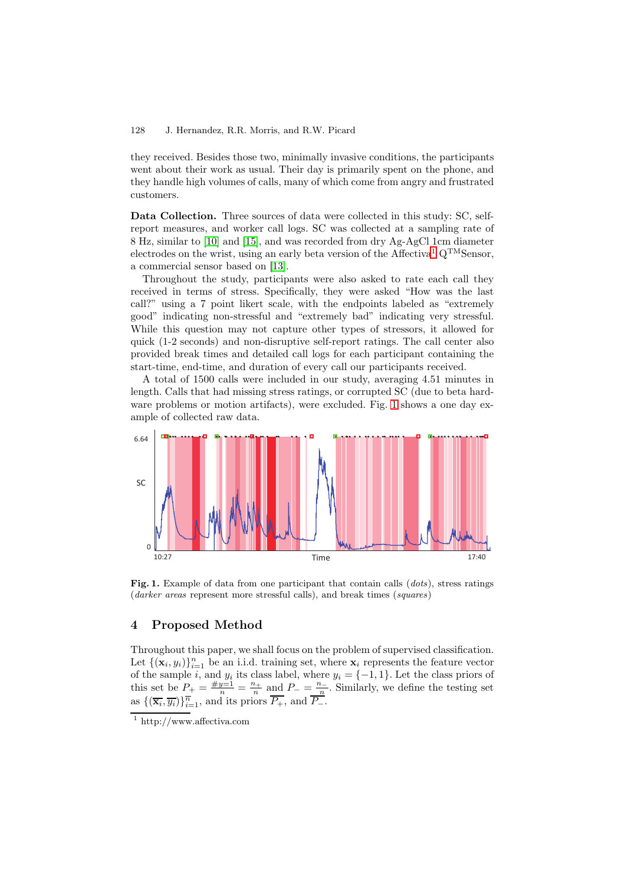they received. Besides those two, minimally invasive conditions, the participants went about their work as usual. Their day is primarily spent on the phone, and they handle high volumes of calls, many of which come from angry and frustrated customers.

Data Collection. Three sources of data were collected in this study: SC, selfreport measures, and worker call logs. SC was collected at a sampling rate of 8 Hz, similar to [\[10\]](#page-9-3) and [\[15\]](#page-9-9), and was recorded from dry Ag-AgCl 1cm diameter electrodes on the wrist, using an early beta version of the Affectiva<sup>[1](#page-3-1)</sup>  $Q^{TM}$ Sensor, a commercial sensor based on [\[13\]](#page-9-2).

Throughout the study, participants were also asked to rate each call they received in terms of stress. Specifically, they were asked "How was the last call?" using a 7 point likert scale, with the endpoints labeled as "extremely good" indicating non-stressful and "extremely bad" indicating very stressful. While this question may not capture other types of stressors, it allowed for quick (1-2 seconds) and non-disruptive self-report ratings. The call center also provided break times and detailed call logs for each participant containing the start-time, end-time, and duration of every call our participants received.

A total of 1500 calls were included in our study, averaging 4.51 minutes in length. Calls that had missing stress ratings, or corrupted SC (due to beta hard-ware problems or motion artifacts), were excluded. Fig. [1](#page-3-2) shows a one day example of collected raw data.



<span id="page-3-2"></span>**Fig. 1.** Example of data from one participant that contain calls (*dots*), stress ratings (*darker areas* represent more stressful calls), and break times (*squares*)

# <span id="page-3-0"></span>**4 Proposed Method**

Throughout this paper, we shall focus on the problem of supervised classification. Let  $\{(\mathbf{x}_i, y_i)\}_{i=1}^n$  be an i.i.d. training set, where  $\mathbf{x}_i$  represents the feature vector of the sample *i* and *u*<sub>i</sub> its class label, where  $u_i = \{-1, 1\}$ . Let the class priors of of the sample *i*, and  $y_i$  its class label, where  $y_i = \{-1, 1\}$ . Let the class priors of this set be  $P_+ = \frac{\#y-1}{n} = \frac{n_+}{n}$  and  $P_- = \frac{n_-}{n}$ . Similarly, we define the testing set as  $\{(\overline{\mathbf{x}_i}, \overline{y_i})\}_{i=1}^{\overline{n}}$ , and its priors  $\overline{P_+}$ , and  $\overline{P_-}$ .

<span id="page-3-1"></span> $\frac{1}{1}$  http://www.affectiva.com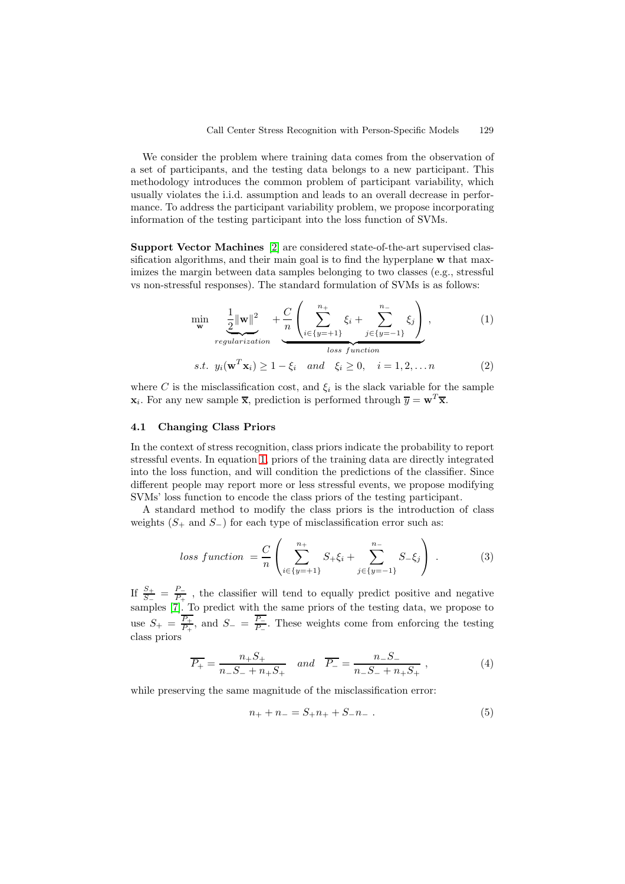We consider the problem where training data comes from the observation of a set of participants, and the testing data belongs to a new participant. This methodology introduces the common problem of participant variability, which usually violates the i.i.d. assumption and leads to an overall decrease in performance. To address the participant variability problem, we propose incorporating information of the testing participant into the loss function of SVMs.

**Support Vector Machines** [\[2\]](#page-9-11) are considered state-of-the-art supervised classification algorithms, and their main goal is to find the hyperplane **w** that maximizes the margin between data samples belonging to two classes (e.g., stressful vs non-stressful responses). The standard formulation of SVMs is as follows:

<span id="page-4-0"></span>
$$
\min_{\mathbf{w}} \quad \underbrace{\frac{1}{2} \|\mathbf{w}\|^2}_{regularization} + \underbrace{C}_{\{i \in \{y = +1\}} \left( \sum_{j \in \{y = -1\}}^{n_+} \xi_i + \sum_{j \in \{y = -1\}}^{n_-} \xi_j \right), \tag{1}
$$

*test. y<sub>i</sub>*(
$$
\mathbf{w}^T \mathbf{x}_i
$$
)  $\geq 1 - \xi_i$  and  $\xi_i \geq 0$ ,  $i = 1, 2, ... n$  (2)

where C is the misclassification cost, and  $\xi_i$  is the slack variable for the sample  $\mathbf{x}_i$ . For any new sample  $\overline{\mathbf{x}}$ , prediction is performed through  $\overline{y} = \mathbf{w}^T \overline{\mathbf{x}}$ .

## **4.1 Changing Class Priors**

In the context of stress recognition, class priors indicate the probability to report stressful events. In equation [1,](#page-4-0) priors of the training data are directly integrated into the loss function, and will condition the predictions of the classifier. Since different people may report more or less stressful events, we propose modifying SVMs' loss function to encode the class priors of the testing participant.

A standard method to modify the class priors is the introduction of class weights  $(S_+ \text{ and } S_-)$  for each type of misclassification error such as:

$$
loss function = \frac{C}{n} \left( \sum_{i \in \{y = +1\}}^{n_+} S_+ \xi_i + \sum_{j \in \{y = -1\}}^{n_-} S_- \xi_j \right) . \tag{3}
$$

If  $\frac{S_+}{S_-} = \frac{P_-}{P_+}$ , the classifier will tend to equally predict positive and negative samples [\[7\]](#page-9-12). To predict with the same priors of the testing data, we propose to use  $S_+ = \frac{P_+}{P_+}$ , and  $S_- = \frac{P_-}{P_-}$ . These weights come from enforcing the testing class priors

$$
\overline{P_+} = \frac{n_+ S_+}{n_- S_- + n_+ S_+} \quad and \quad \overline{P_-} = \frac{n_- S_-}{n_- S_- + n_+ S_+} , \tag{4}
$$

while preserving the same magnitude of the misclassification error:

$$
n_{+} + n_{-} = S_{+}n_{+} + S_{-}n_{-} . \tag{5}
$$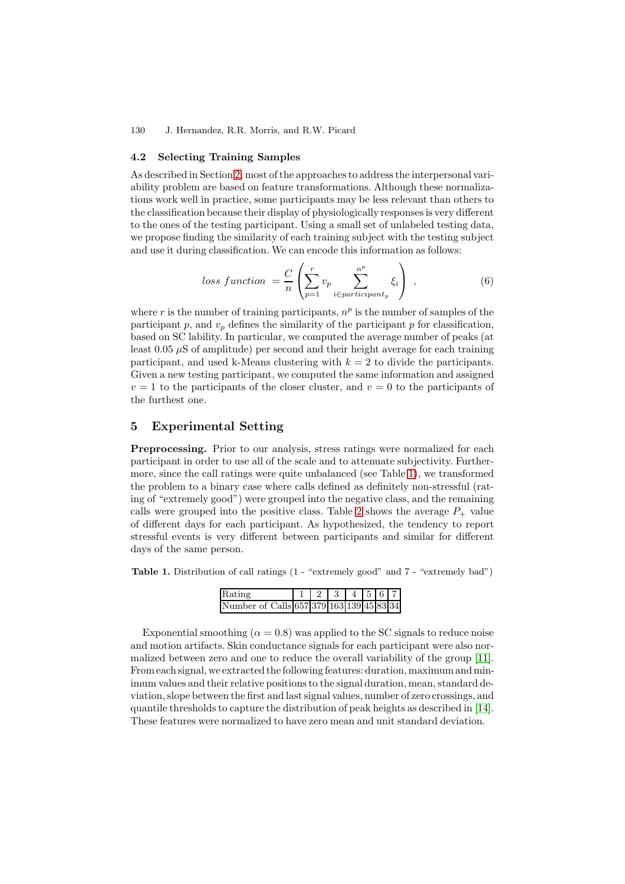## **4.2 Selecting Training Samples**

As described in Section [2,](#page-1-0) most of the approaches to address the interpersonal variability problem are based on feature transformations. Although these normalizations work well in practice, some participants may be less relevant than others to the classification because their display of physiologically responses is very different to the ones of the testing participant. Using a small set of unlabeled testing data, we propose finding the similarity of each training subject with the testing subject and use it during classification. We can encode this information as follows:

$$
loss function = \frac{C}{n} \left( \sum_{p=1}^{r} v_p \sum_{i \in particular}^{n^p} \xi_i \right) , \qquad (6)
$$

where r is the number of training participants,  $n<sup>p</sup>$  is the number of samples of the participant  $p$ , and  $v_p$  defines the similarity of the participant  $p$  for classification, based on SC lability. In particular, we computed the average number of peaks (at least  $0.05 \mu S$  of amplitude) per second and their height average for each training participant, and used k-Means clustering with  $k = 2$  to divide the participants. Given a new testing participant, we computed the same information and assigned  $v = 1$  to the participants of the closer cluster, and  $v = 0$  to the participants of the furthest one.

# <span id="page-5-0"></span>**5 Experimental Setting**

Preprocessing. Prior to our analysis, stress ratings were normalized for each participant in order to use all of the scale and to attenuate subjectivity. Furthermore, since the call ratings were quite unbalanced (see Table [1\)](#page-5-1), we transformed the problem to a binary case where calls defined as definitely non-stressful (rating of "extremely good") were grouped into the negative class, and the remaining calls were grouped into the positive class. Table [2](#page-6-1) shows the average  $P_+$  value of different days for each participant. As hypothesized, the tendency to report stressful events is very different between participants and similar for different days of the same person.

<span id="page-5-1"></span>**Table 1.** Distribution of call ratings  $(1 -$  "extremely good" and  $7 -$  "extremely bad")

| Rating                                   |  | $4 \t 5 \t 6 \t 7$ |  |  |
|------------------------------------------|--|--------------------|--|--|
| Number of Calls 657 379 163 139 45 83 34 |  |                    |  |  |

Exponential smoothing  $(\alpha = 0.8)$  was applied to the SC signals to reduce noise and motion artifacts. Skin conductance signals for each participant were also normalized between zero and one to reduce the overall variability of the group [\[11\]](#page-9-4). From each signal, we extracted the following features: duration, maximum and minimum values and their relative positions to the signal duration, mean, standard deviation, slope between the first and last signal values, number of zero crossings, and quantile thresholds to capture the distribution of peak heights as described in [\[14\]](#page-9-8). These features were normalized to have zero mean and unit standard deviation.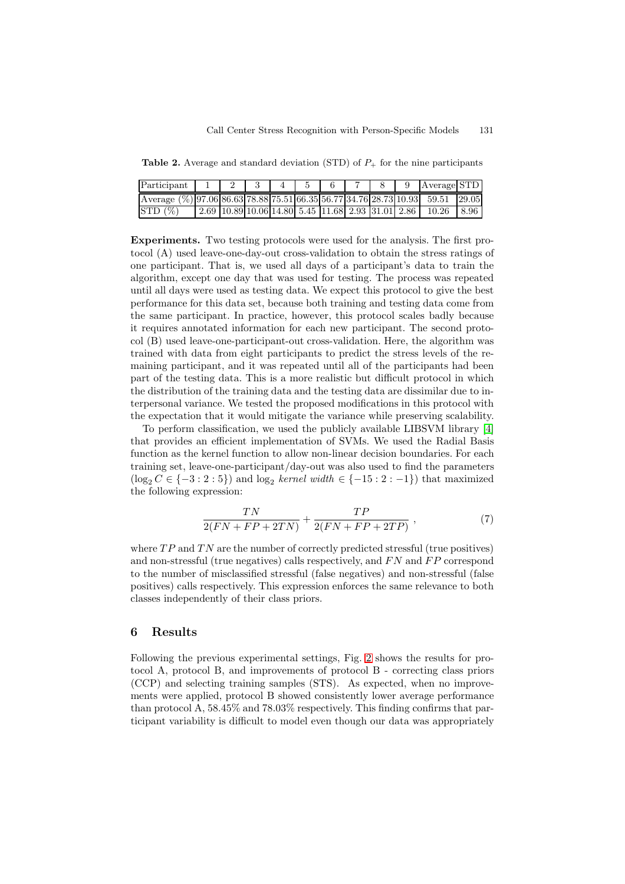<span id="page-6-1"></span>**Table 2.** Average and standard deviation (STD) of  $P_+$  for the nine participants

| Participant                                                                   |  |  |  |  | Average STD                                                                      |  |
|-------------------------------------------------------------------------------|--|--|--|--|----------------------------------------------------------------------------------|--|
| Average (%) 97.06 86.63 78.88 75.51 66.35 56.77 34.76 28.73 10.93 59.51 29.05 |  |  |  |  |                                                                                  |  |
| STD(%)                                                                        |  |  |  |  | 2.69   10.89   10.06   14.80   5.45   11.68   2.93   31.01   2.86   10.26   8.96 |  |

**Experiments.** Two testing protocols were used for the analysis. The first protocol (A) used leave-one-day-out cross-validation to obtain the stress ratings of one participant. That is, we used all days of a participant's data to train the algorithm, except one day that was used for testing. The process was repeated until all days were used as testing data. We expect this protocol to give the best performance for this data set, because both training and testing data come from the same participant. In practice, however, this protocol scales badly because it requires annotated information for each new participant. The second protocol (B) used leave-one-participant-out cross-validation. Here, the algorithm was trained with data from eight participants to predict the stress levels of the remaining participant, and it was repeated until all of the participants had been part of the testing data. This is a more realistic but difficult protocol in which the distribution of the training data and the testing data are dissimilar due to interpersonal variance. We tested the proposed modifications in this protocol with the expectation that it would mitigate the variance while preserving scalability.

To perform classification, we used the publicly available LIBSVM library [\[4\]](#page-9-13) that provides an efficient implementation of SVMs. We used the Radial Basis function as the kernel function to allow non-linear decision boundaries. For each training set, leave-one-participant/day-out was also used to find the parameters  $(\log_2 C \in \{-3:2:5\})$  and  $\log_2$  *kernel width*  $\in \{-15:2:-1\})$  that maximized the following expression:

$$
\frac{TN}{2(FN+FP+2TN)} + \frac{TP}{2(FN+FP+2TP)},
$$
\n<sup>(7)</sup>

where  $TP$  and  $TN$  are the number of correctly predicted stressful (true positives) and non-stressful (true negatives) calls respectively, and  $FN$  and  $FP$  correspond to the number of misclassified stressful (false negatives) and non-stressful (false positives) calls respectively. This expression enforces the same relevance to both classes independently of their class priors.

## <span id="page-6-0"></span>**6 Results**

Following the previous experimental settings, Fig. [2](#page-7-0) shows the results for protocol A, protocol B, and improvements of protocol B - correcting class priors (CCP) and selecting training samples (STS). As expected, when no improvements were applied, protocol B showed consistently lower average performance than protocol A, 58.45% and 78.03% respectively. This finding confirms that participant variability is difficult to model even though our data was appropriately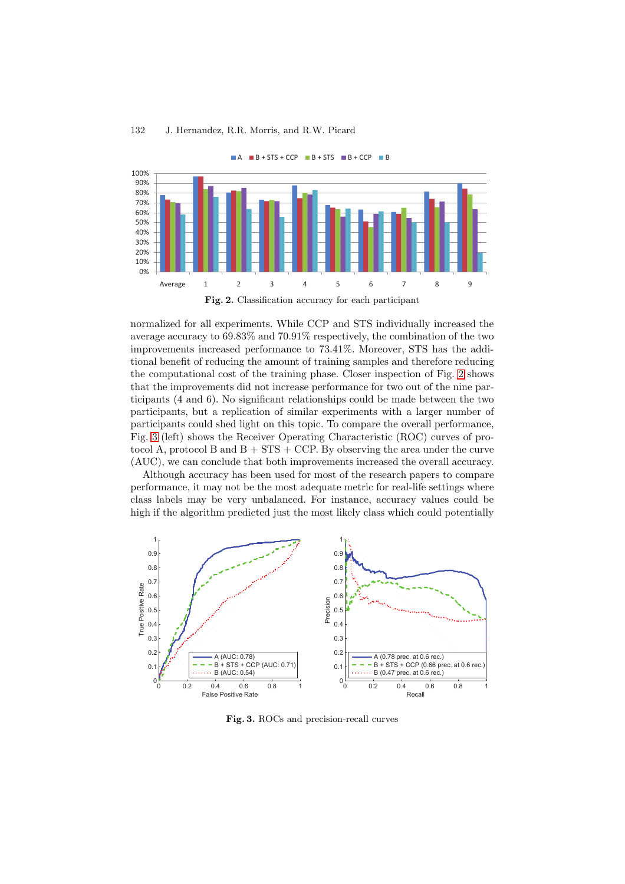

<span id="page-7-0"></span>normalized for all experiments. While CCP and STS individually increased the average accuracy to 69.83% and 70.91% respectively, the combination of the two improvements increased performance to 73.41%. Moreover, STS has the additional benefit of reducing the amount of training samples and therefore reducing the computational cost of the training phase. Closer inspection of Fig. [2](#page-7-0) shows that the improvements did not increase performance for two out of the nine participants (4 and 6). No significant relationships could be made between the two participants, but a replication of similar experiments with a larger number of participants could shed light on this topic. To compare the overall performance, Fig. [3](#page-7-1) (left) shows the Receiver Operating Characteristic (ROC) curves of protocol A, protocol B and  $B + STS + CCP$ . By observing the area under the curve (AUC), we can conclude that both improvements increased the overall accuracy.

Although accuracy has been used for most of the research papers to compare performance, it may not be the most adequate metric for real-life settings where class labels may be very unbalanced. For instance, accuracy values could be high if the algorithm predicted just the most likely class which could potentially



<span id="page-7-1"></span>**Fig. 3.** ROCs and precision-recall curves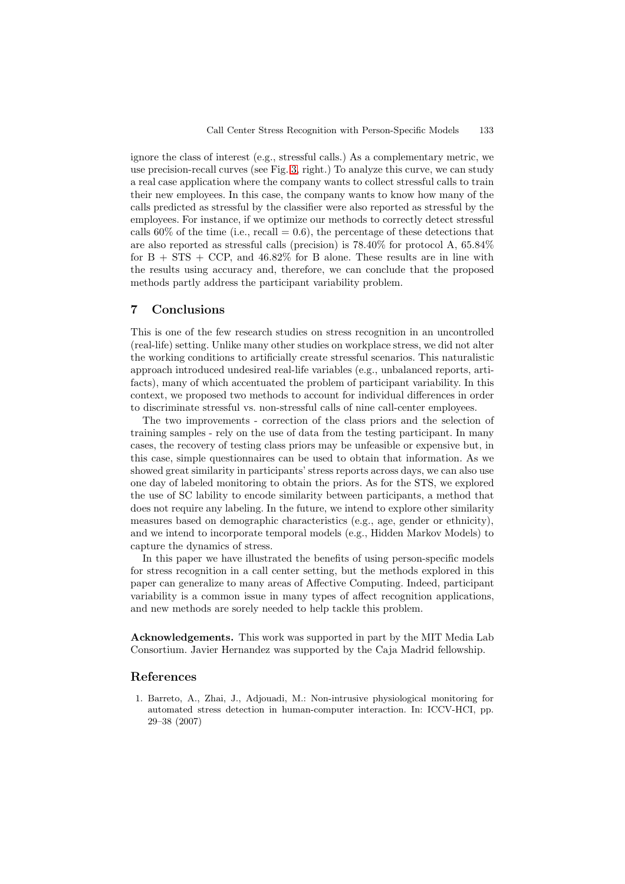ignore the class of interest (e.g., stressful calls.) As a complementary metric, we use precision-recall curves (see Fig. [3,](#page-7-1) right.) To analyze this curve, we can study a real case application where the company wants to collect stressful calls to train their new employees. In this case, the company wants to know how many of the calls predicted as stressful by the classifier were also reported as stressful by the employees. For instance, if we optimize our methods to correctly detect stressful calls  $60\%$  of the time (i.e., recall  $= 0.6$ ), the percentage of these detections that are also reported as stressful calls (precision) is 78.40% for protocol A, 65.84% for  $B + STS + CCP$ , and  $46.82\%$  for B alone. These results are in line with the results using accuracy and, therefore, we can conclude that the proposed methods partly address the participant variability problem.

## **7 Conclusions**

This is one of the few research studies on stress recognition in an uncontrolled (real-life) setting. Unlike many other studies on workplace stress, we did not alter the working conditions to artificially create stressful scenarios. This naturalistic approach introduced undesired real-life variables (e.g., unbalanced reports, artifacts), many of which accentuated the problem of participant variability. In this context, we proposed two methods to account for individual differences in order to discriminate stressful vs. non-stressful calls of nine call-center employees.

The two improvements - correction of the class priors and the selection of training samples - rely on the use of data from the testing participant. In many cases, the recovery of testing class priors may be unfeasible or expensive but, in this case, simple questionnaires can be used to obtain that information. As we showed great similarity in participants' stress reports across days, we can also use one day of labeled monitoring to obtain the priors. As for the STS, we explored the use of SC lability to encode similarity between participants, a method that does not require any labeling. In the future, we intend to explore other similarity measures based on demographic characteristics (e.g., age, gender or ethnicity), and we intend to incorporate temporal models (e.g., Hidden Markov Models) to capture the dynamics of stress.

In this paper we have illustrated the benefits of using person-specific models for stress recognition in a call center setting, but the methods explored in this paper can generalize to many areas of Affective Computing. Indeed, participant variability is a common issue in many types of affect recognition applications, and new methods are sorely needed to help tackle this problem.

**Acknowledgements.** This work was supported in part by the MIT Media Lab Consortium. Javier Hernandez was supported by the Caja Madrid fellowship.

## <span id="page-8-1"></span><span id="page-8-0"></span>**References**

1. Barreto, A., Zhai, J., Adjouadi, M.: Non-intrusive physiological monitoring for automated stress detection in human-computer interaction. In: ICCV-HCI, pp. 29–38 (2007)